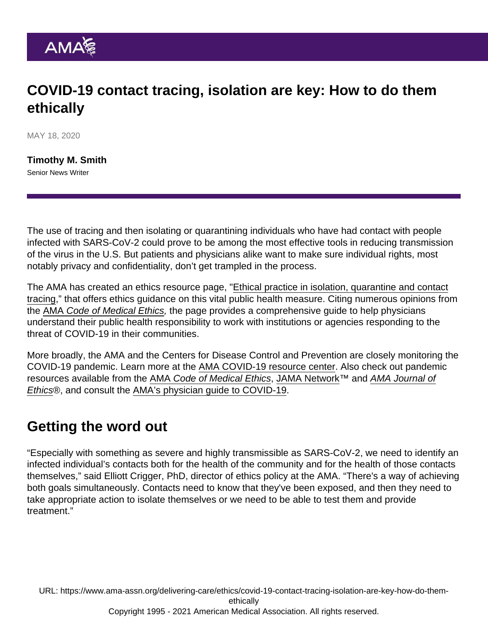## COVID-19 contact tracing, isolation are key: How to do them ethically

MAY 18, 2020

[Timothy M. Smith](https://www.ama-assn.org/news-leadership-viewpoints/authors-news-leadership-viewpoints/timothy-m-smith) Senior News Writer

The use of tracing and then isolating or quarantining individuals who have had contact with people infected with SARS-CoV-2 could prove to be among the most effective tools in reducing transmission of the virus in the U.S. But patients and physicians alike want to make sure individual rights, most notably privacy and confidentiality, don't get trampled in the process.

The AMA has created an ethics resource page, ["Ethical practice in isolation, quarantine and contact](https://www.ama-assn.org/delivering-care/ethics/ethical-practice-isolation-quarantine-contact-tracing) [tracing](https://www.ama-assn.org/delivering-care/ethics/ethical-practice-isolation-quarantine-contact-tracing)," that offers ethics guidance on this vital public health measure. Citing numerous opinions from the [AMA Code of Medical Ethics](https://www.ama-assn.org/delivering-care/ethics/code-medical-ethics-overview), the page provides a comprehensive guide to help physicians understand their public health responsibility to work with institutions or agencies responding to the threat of COVID-19 in their communities.

More broadly, the AMA and the Centers for Disease Control and Prevention are closely monitoring the COVID-19 pandemic. Learn more at the [AMA COVID-19 resource center.](https://www.ama-assn.org/delivering-care/public-health/covid-19-2019-novel-coronavirus-resource-center-physicians) Also check out pandemic resources available from the [AMA Code of Medical Ethics](https://www.ama-assn.org/delivering-care/public-health/where-find-ethical-guidance-pandemic), [JAMA Network](https://jamanetwork.com/journals/jama/pages/coronavirus-alert)™ and [AMA Journal of](https://journalofethics.ama-assn.org/covid-19-ethics-resource-center) [Ethics®](https://journalofethics.ama-assn.org/covid-19-ethics-resource-center), and consult the [AMA's physician guide to COVID-19.](http://cloud.e.ama-assn.org/20-1544-covid19)

## Getting the word out

"Especially with something as severe and highly transmissible as SARS-CoV-2, we need to identify an infected individual's contacts both for the health of the community and for the health of those contacts themselves," said Elliott Crigger, PhD, director of ethics policy at the AMA. "There's a way of achieving both goals simultaneously. Contacts need to know that they've been exposed, and then they need to take appropriate action to isolate themselves or we need to be able to test them and provide treatment."

URL: [https://www.ama-assn.org/delivering-care/ethics/covid-19-contact-tracing-isolation-are-key-how-do-them](https://www.ama-assn.org/delivering-care/ethics/covid-19-contact-tracing-isolation-are-key-how-do-them-ethically)[ethically](https://www.ama-assn.org/delivering-care/ethics/covid-19-contact-tracing-isolation-are-key-how-do-them-ethically) Copyright 1995 - 2021 American Medical Association. All rights reserved.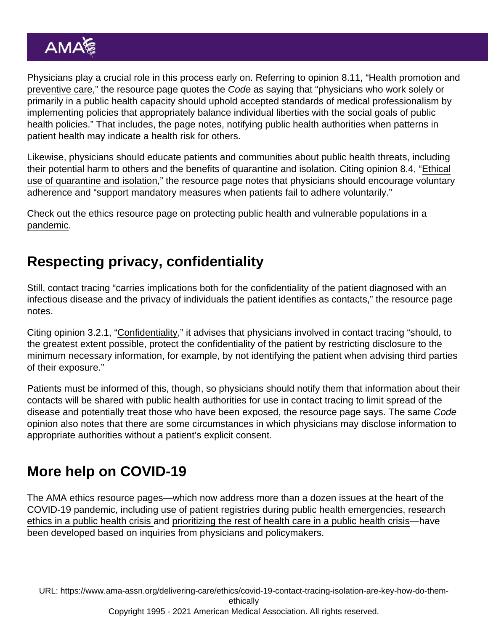Physicians play a crucial role in this process early on. Referring to opinion 8.11, "[Health promotion and](https://www.ama-assn.org/delivering-care/ethics/health-promotion-and-preventive-care) [preventive care](https://www.ama-assn.org/delivering-care/ethics/health-promotion-and-preventive-care)," the resource page quotes the Code as saying that "physicians who work solely or primarily in a public health capacity should uphold accepted standards of medical professionalism by implementing policies that appropriately balance individual liberties with the social goals of public health policies." That includes, the page notes, notifying public health authorities when patterns in patient health may indicate a health risk for others.

Likewise, physicians should educate patients and communities about public health threats, including their potential harm to others and the benefits of quarantine and isolation. Citing opinion 8.4, "[Ethical](https://www.ama-assn.org/delivering-care/ethics/ethical-use-quarantine-isolation) [use of quarantine and isolation](https://www.ama-assn.org/delivering-care/ethics/ethical-use-quarantine-isolation)," the resource page notes that physicians should encourage voluntary adherence and "support mandatory measures when patients fail to adhere voluntarily."

Check out the ethics resource page on [protecting public health and vulnerable populations in a](https://www.ama-assn.org/delivering-care/ethics/protecting-public-health-vulnerable-populations-pandemic) [pandemic](https://www.ama-assn.org/delivering-care/ethics/protecting-public-health-vulnerable-populations-pandemic).

## Respecting privacy, confidentiality

Still, contact tracing "carries implications both for the confidentiality of the patient diagnosed with an infectious disease and the privacy of individuals the patient identifies as contacts," the resource page notes.

Citing opinion 3.2.1, ["Confidentiality,](https://www.ama-assn.org/delivering-care/ethics/confidentiality)" it advises that physicians involved in contact tracing "should, to the greatest extent possible, protect the confidentiality of the patient by restricting disclosure to the minimum necessary information, for example, by not identifying the patient when advising third parties of their exposure."

Patients must be informed of this, though, so physicians should notify them that information about their contacts will be shared with public health authorities for use in contact tracing to limit spread of the disease and potentially treat those who have been exposed, the resource page says. The same Code opinion also notes that there are some circumstances in which physicians may disclose information to appropriate authorities without a patient's explicit consent.

## More help on COVID-19

The AMA ethics resource pages—which now address more than a dozen issues at the heart of the COVID-19 pandemic, including [use of patient registries during public health emergencies,](https://www.ama-assn.org/delivering-care/ethics/use-patient-registries-during-public-health-emergencies) [research](https://www.ama-assn.org/delivering-care/ethics/research-ethics-public-health-crisis) [ethics in a public health crisis a](https://www.ama-assn.org/delivering-care/ethics/research-ethics-public-health-crisis)nd [prioritizing the rest of health care in a public health crisis](https://www.ama-assn.org/delivering-care/ethics/prioritizing-rest-health-care-public-health-crisis)—have been developed based on inquiries from physicians and policymakers.

URL: [https://www.ama-assn.org/delivering-care/ethics/covid-19-contact-tracing-isolation-are-key-how-do-them](https://www.ama-assn.org/delivering-care/ethics/covid-19-contact-tracing-isolation-are-key-how-do-them-ethically)[ethically](https://www.ama-assn.org/delivering-care/ethics/covid-19-contact-tracing-isolation-are-key-how-do-them-ethically) Copyright 1995 - 2021 American Medical Association. All rights reserved.